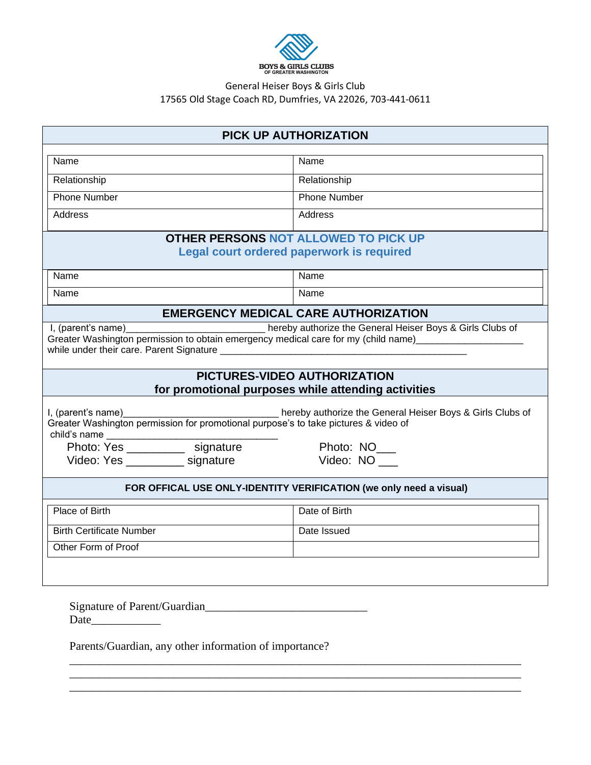

## General Heiser Boys & Girls Club 17565 Old Stage Coach RD, Dumfries, VA 22026, 703-441-0611

| <b>PICK UP AUTHORIZATION</b>                                                                                                                                                                          |                     |  |  |  |
|-------------------------------------------------------------------------------------------------------------------------------------------------------------------------------------------------------|---------------------|--|--|--|
| Name                                                                                                                                                                                                  | Name                |  |  |  |
| Relationship                                                                                                                                                                                          | Relationship        |  |  |  |
| <b>Phone Number</b>                                                                                                                                                                                   | <b>Phone Number</b> |  |  |  |
| <b>Address</b>                                                                                                                                                                                        |                     |  |  |  |
|                                                                                                                                                                                                       | Address             |  |  |  |
| <b>OTHER PERSONS NOT ALLOWED TO PICK UP</b>                                                                                                                                                           |                     |  |  |  |
| Legal court ordered paperwork is required                                                                                                                                                             |                     |  |  |  |
| Name                                                                                                                                                                                                  | Name                |  |  |  |
| Name                                                                                                                                                                                                  | Name                |  |  |  |
| <b>EMERGENCY MEDICAL CARE AUTHORIZATION</b>                                                                                                                                                           |                     |  |  |  |
| I, (parent's name)<br>Letter the General Heiser Boys & Girls Clubs of<br>Greater Washington permission to obtain emergency medical care for my (child name)________________________                   |                     |  |  |  |
| PICTURES-VIDEO AUTHORIZATION<br>for promotional purposes while attending activities                                                                                                                   |                     |  |  |  |
| I, (parent's name)__________________________________ hereby authorize the General Heiser Boys & Girls Clubs of<br>Greater Washington permission for promotional purpose's to take pictures & video of |                     |  |  |  |
|                                                                                                                                                                                                       | Photo: NO___        |  |  |  |
| Video: Yes ____________ signature                                                                                                                                                                     | Video: NO           |  |  |  |
| FOR OFFICAL USE ONLY-IDENTITY VERIFICATION (we only need a visual)                                                                                                                                    |                     |  |  |  |
| Place of Birth                                                                                                                                                                                        | Date of Birth       |  |  |  |
| <b>Birth Certificate Number</b>                                                                                                                                                                       | Date Issued         |  |  |  |
| Other Form of Proof                                                                                                                                                                                   |                     |  |  |  |
|                                                                                                                                                                                                       |                     |  |  |  |
| Signature of Parent/Guardian<br>Parents/Guardian, any other information of importance?                                                                                                                |                     |  |  |  |
|                                                                                                                                                                                                       |                     |  |  |  |